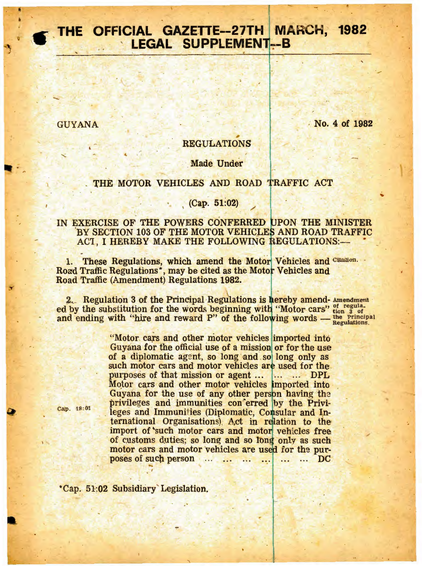# THE OFFICIAL GAZETTE--27TH MARCH, 1982 **LEGAL SUPPLEMENT-B**

**GUYANA** 

No. 4 of 1982

## **REGULATIONS**

#### **Made Under**

#### THE MOTOR VEHICLES AND ROAD TRAFFIC ACT

#### $(Cap. 51:02)$

### IN EXERCISE OF THE POWERS CONFERRED UPON THE MINISTER BY SECTION 103 OF THE MOTOR VEHICLES AND ROAD TRAFFIC ACT. I HEREBY MAKE THE FOLLOWING REGULATIONS:-

1. These Regulations, which amend the Motor Vehicles and Cilluidion. Road Traffic Regulations\*, may be cited as the Motor Vehicles and Road Traffic (Amendment) Regulations 1982.

2. Regulation 3 of the Principal Regulations is hereby amend- Amendment ed by the substitution for the words beginning with "Motor cars" tion 3 of<br>and ending with "hire and reward P" of the following words — the Frincipal<br>Regulations.

"Motor cars and other motor vehicles imported into Guyana for the official use of a mission or for the use of a diplomatic agent, so long and so long only as such motor cars and motor vehicles are used for the purposes of that mission or agent ... |... ... DPL Motor cars and other motor vehicles imported into Guyana for the use of any other person having the privileges and immunities con erred by the Privileges and Immunities (Diplomatic, Consular and International Organisations). Act in relation to the import of such motor cars and motor vehicles free of customs duties; so long and so long only as such motor cars and motor vehicles are used for the purposes of such person ... ... ... ... ... DC  $\dddotsc$ 

Cap. 18:01

\*Cap. 51:02 Subsidiary Legislation.